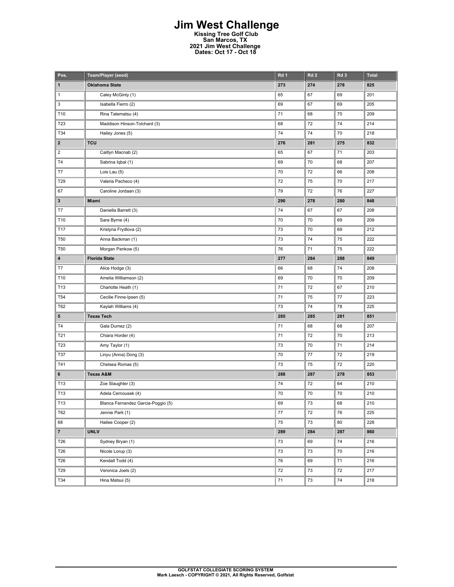## **Jim West Challenge Kissing Tree Golf Club San Marcos, TX 2021 Jim West Challenge Dates: Oct 17 - Oct 18**

| Pos.            | Team/Player (seed)                 | Rd 1 | Rd <sub>2</sub> | Rd <sub>3</sub> | <b>Total</b> |
|-----------------|------------------------------------|------|-----------------|-----------------|--------------|
| 1               | <b>Oklahoma State</b>              | 273  | 274             | 278             | 825          |
| $\mathbf{1}$    | Caley McGinty (1)                  | 65   | 67              | 69              | 201          |
| 3               | Isabella Fierro (2)                | 69   | 67              | 69              | 205          |
| T10             | Rina Tatematsu (4)                 | 71   | 68              | 70              | 209          |
| T23             | Maddison Hinson-Tolchard (3)       | 68   | 72              | 74              | 214          |
| T34             | Hailey Jones (5)                   | 74   | 74              | 70              | 218          |
| $\mathbf{2}$    | <b>TCU</b>                         | 276  | 281             | 275             | 832          |
| $\overline{2}$  | Caitlyn Macnab (2)                 | 65   | 67              | 71              | 203          |
| T <sub>4</sub>  | Sabrina Iqbal (1)                  | 69   | 70              | 68              | 207          |
| T7              | Lois Lau (5)                       | 70   | 72              | 66              | 208          |
| T29             | Valeria Pacheco (4)                | 72   | 75              | 70              | 217          |
| 67              | Caroline Jordaan (3)               | 79   | 72              | 76              | 227          |
| 3               | Miami                              | 290  | 278             | 280             | 848          |
| T7              | Daniella Barrett (3)               | 74   | 67              | 67              | 208          |
| T10             | Sara Byrne (4)                     | 70   | 70              | 69              | 209          |
| T17             | Kristyna Frydlova (2)              | 73   | 70              | 69              | 212          |
| <b>T50</b>      | Anna Backman (1)                   | 73   | 74              | 75              | 222          |
| T <sub>50</sub> | Morgan Pankow (5)                  | 76   | 71              | 75              | 222          |
| 4               | <b>Florida State</b>               | 277  | 284             | 288             | 849          |
| T7              | Alice Hodge (3)                    | 66   | 68              | 74              | 208          |
| T10             | Amelia Williamson (2)              | 69   | 70              | 70              | 209          |
| T13             | Charlotte Heath (1)                | 71   | 72              | 67              | 210          |
| T <sub>54</sub> | Cecilie Finne-Ipsen (5)            | 71   | 75              | $77 \,$         | 223          |
| T62             | Kaylah Williams (4)                | 73   | 74              | 78              | 225          |
| 5               | <b>Texas Tech</b>                  | 285  | 285             | 281             | 851          |
| T4              | Gala Dumez (2)                     | 71   | 68              | 68              | 207          |
| T21             | Chiara Horder (4)                  | 71   | 72              | 70              | 213          |
| T23             | Amy Taylor (1)                     | 73   | 70              | 71              | 214          |
| <b>T37</b>      | Linyu (Anna) Dong (3)              | 70   | 77              | 72              | 219          |
| T41             | Chelsea Romas (5)                  | 73   | 75              | 72              | 220          |
| 6               | <b>Texas A&amp;M</b>               | 288  | 287             | 278             | 853          |
| T13             | Zoe Slaughter (3)                  | 74   | 72              | 64              | 210          |
| T13             | Adela Cernousek (4)                | 70   | 70              | 70              | 210          |
| T13             | Blanca Fernandez Garcia-Poggio (5) | 69   | 73              | 68              | 210          |
| T62             | Jennie Park (1)                    | 77   | 72              | 76              | 225          |
| 68              | Hailee Cooper (2)                  | 75   | 73              | 80              | 228          |
| 7 <sup>7</sup>  | <b>UNLV</b>                        | 289  | 284             | 287             | 860          |
| T26             | Sydney Bryan (1)                   | 73   | 69              | 74              | 216          |
| T26             | Nicole Lorup (3)                   | 73   | 73              | $70\,$          | 216          |
| T26             | Kendall Todd (4)                   | 76   | 69              | 71              | 216          |
| T29             | Veronica Joels (2)                 | 72   | 73              | 72              | 217          |
| T34             | Hina Matsui (5)                    | 71   | 73              | 74              | 218          |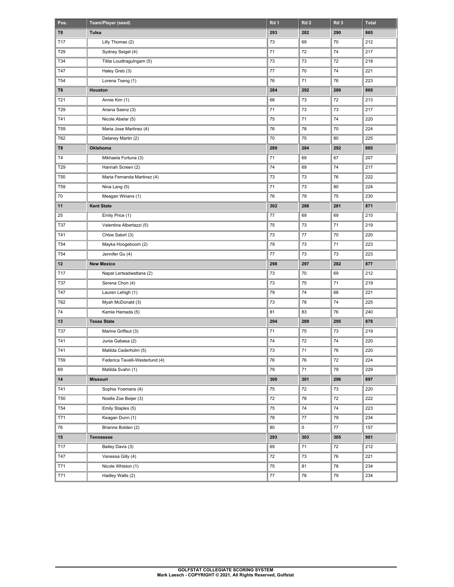| Pos.            | Team/Player (seed)              | Rd <sub>1</sub> | Rd <sub>2</sub> | Rd <sub>3</sub> | <b>Total</b> |
|-----------------|---------------------------------|-----------------|-----------------|-----------------|--------------|
| T8              | Tulsa                           | 293             | 282             | 290             | 865          |
| T17             | Lilly Thomas (2)                | 73              | 69              | 70              | 212          |
| T29             | Sydney Seigel (4)               | 71              | 72              | 74              | 217          |
| T34             | Titita Loudtragulngam (5)       | 73              | 73              | 72              | 218          |
| T47             | Haley Greb (3)                  | 77              | 70              | 74              | 221          |
| T <sub>54</sub> | Lorena Tseng (1)                | 76              | 71              | 76              | 223          |
| T8              | Houston                         | 284             | 292             | 289             | 865          |
| T21             | Annie Kim (1)                   | 68              | 73              | 72              | 213          |
| T29             | Ariana Saenz (3)                | 71              | 73              | 73              | 217          |
| T41             | Nicole Abelar (5)               | 75              | 71              | 74              | 220          |
| T <sub>59</sub> | Maria Jose Martinez (4)         | 76              | 78              | 70              | 224          |
| T62             | Delaney Martin (2)              | 70              | 75              | 80              | 225          |
| T8              | Oklahoma                        | 289             | 284             | 292             | 865          |
| T <sub>4</sub>  | Mikhaela Fortuna (3)            | 71              | 69              | 67              | 207          |
| T29             | Hannah Screen (2)               | 74              | 69              | 74              | 217          |
| <b>T50</b>      | Maria Fernanda Martinez (4)     | 73              | 73              | 76              | 222          |
| T <sub>59</sub> | Nina Lang (5)                   | 71              | 73              | 80              | 224          |
| 70              | Meagan Winans (1)               | 76              | 79              | 75              | 230          |
| 11              | <b>Kent State</b>               | 302             | 288             | 281             | 871          |
| 25              | Emily Price (1)                 | 77              | 69              | 69              | 215          |
| T37             | Valentina Albertazzi (5)        | 75              | 73              | 71              | 219          |
| T41             | Chloe Salort (3)                | 73              | 77              | 70              | 220          |
| T <sub>54</sub> | Mayka Hoogeboom (2)             | 79              | 73              | 71              | 223          |
| T <sub>54</sub> | Jennifer Gu (4)                 | 77              | 73              | 73              | 223          |
| $12 \,$         | <b>New Mexico</b>               | 298             | 297             | 282             | 877          |
| T17             | Napat Lertsadwattana (2)        | 73              | 70              | 69              | 212          |
| T37             | Serena Chon (4)                 | 73              | 75              | 71              | 219          |
| T47             | Lauren Lehigh (1)               | 79              | 74              | 68              | 221          |
| T62             | Myah McDonald (3)               | 73              | 78              | 74              | 225          |
| 74              | Kamie Hamada (5)                | 81              | 83              | 76              | 240          |
| 13              | <b>Texas State</b>              | 294             | 289             | 295             | 878          |
| T37             | Marine Griffaut (3)             | 71              | 75              | 73              | 219          |
| T41             | Junia Gabasa (2)                | 74              | 72              | 74              | 220          |
| T41             | Matilda Cederholm (5)           | $73\,$          | ${\bf 71}$      | 76              | 220          |
| T59             | Federica Tavelli-Westerlund (4) | 76              | 76              | 72              | 224          |
| 69              | Matilda Svahn (1)               | 79              | 71              | 79              | 229          |
| 14              | Missouri                        | 300             | 301             | 296             | 897          |
| T41             | Sophia Yoemans (4)              | 75              | 72              | 73              | 220          |
| <b>T50</b>      | Noelle Zoe Beijer (3)           | 72              | 78              | 72              | 222          |
| <b>T54</b>      | Emily Staples (5)               | 75              | 74              | 74              | 223          |
| T71             | Keagan Dunn (1)                 | 78              | $77 \,$         | 79              | 234          |
| 76              | Brianne Bolden (2)              | 80              | 0               | 77              | 157          |
| $15\,$          | <b>Tennessee</b>                | 293             | 303             | 305             | 901          |
| T17             | Bailey Davis (3)                | 69              | 71              | 72              | 212          |
| T47             | Vanessa Gilly (4)               | 72              | 73              | 76              | 221          |
| T71             | Nicole Whiston (1)              | 75              | 81              | 78              | 234          |
|                 |                                 |                 |                 |                 |              |